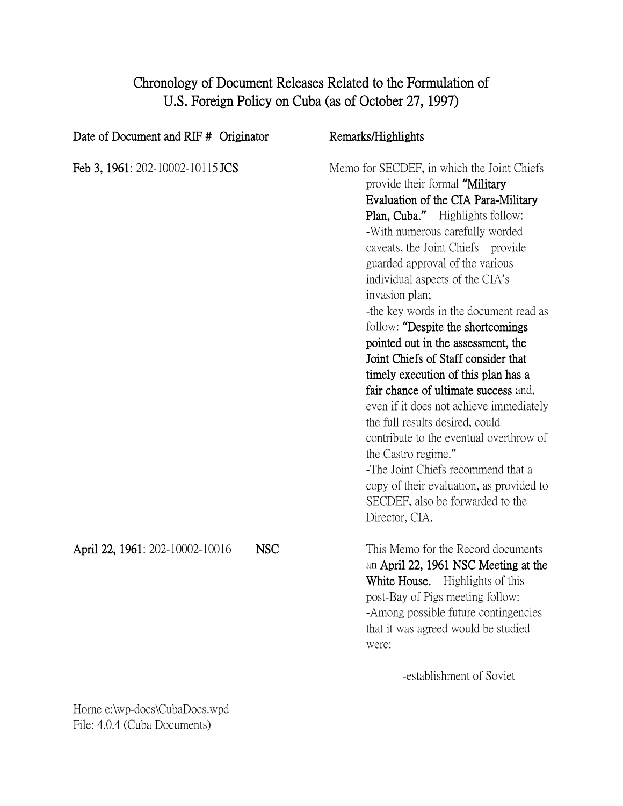# Chronology of Document Releases Related to the Formulation of U.S. Foreign Policy on Cuba (as of October 27, 1997)

| Date of Document and RIF # Originator |            | Remarks/Highlights                                                                                                                                                                                                                                                                                                                                                                                                                                                                                                                                                                                                                                                                                                                                                                                                                                         |
|---------------------------------------|------------|------------------------------------------------------------------------------------------------------------------------------------------------------------------------------------------------------------------------------------------------------------------------------------------------------------------------------------------------------------------------------------------------------------------------------------------------------------------------------------------------------------------------------------------------------------------------------------------------------------------------------------------------------------------------------------------------------------------------------------------------------------------------------------------------------------------------------------------------------------|
| Feb 3, 1961: 202-10002-10115 JCS      |            | Memo for SECDEF, in which the Joint Chiefs<br>provide their formal "Military<br>Evaluation of the CIA Para-Military<br>Plan, Cuba." Highlights follow:<br>-With numerous carefully worded<br>caveats, the Joint Chiefs provide<br>guarded approval of the various<br>individual aspects of the CIA's<br>invasion plan;<br>-the key words in the document read as<br>follow: "Despite the shortcomings"<br>pointed out in the assessment, the<br>Joint Chiefs of Staff consider that<br>timely execution of this plan has a<br>fair chance of ultimate success and,<br>even if it does not achieve immediately<br>the full results desired, could<br>contribute to the eventual overthrow of<br>the Castro regime."<br>-The Joint Chiefs recommend that a<br>copy of their evaluation, as provided to<br>SECDEF, also be forwarded to the<br>Director, CIA. |
| April 22, 1961: 202-10002-10016       | <b>NSC</b> | This Memo for the Record documents<br>an April 22, 1961 NSC Meeting at the<br>White House. Highlights of this<br>post-Bay of Pigs meeting follow:<br>-Among possible future contingencies<br>that it was agreed would be studied<br>were:<br>-establishment of Soviet                                                                                                                                                                                                                                                                                                                                                                                                                                                                                                                                                                                      |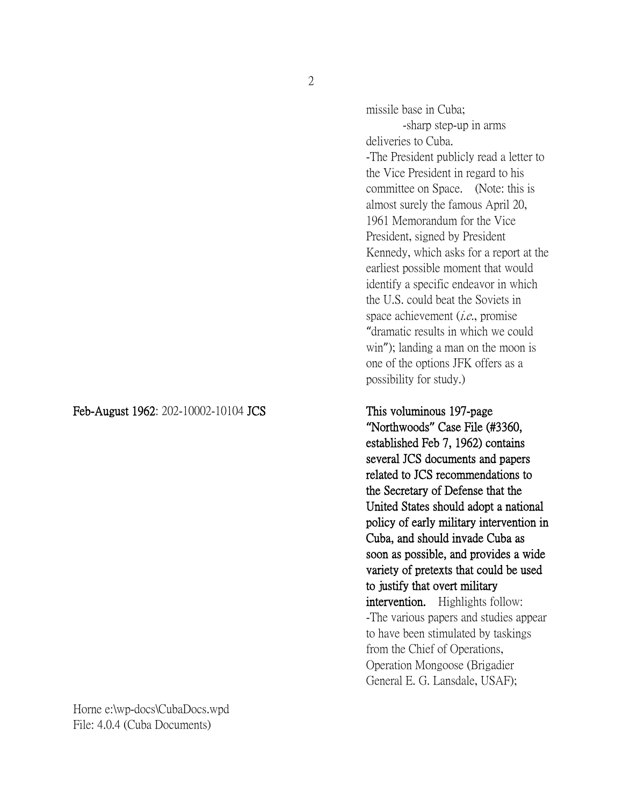2

Feb-August 1962: 202-10002-10104 JCS This voluminous 197-page

Horne e:\wp-docs\CubaDocs.wpd File: 4.0.4 (Cuba Documents)

missile base in Cuba; -sharp step-up in arms deliveries to Cuba. -The President publicly read a letter to the Vice President in regard to his committee on Space. (Note: this is almost surely the famous April 20, 1961 Memorandum for the Vice President, signed by President Kennedy, which asks for a report at the earliest possible moment that would identify a specific endeavor in which the U.S. could beat the Soviets in space achievement *(i.e.*, promise "dramatic results in which we could win"); landing a man on the moon is one of the options JFK offers as a possibility for study.)

**"**Northwoods**"** Case File (#3360, established Feb 7, 1962) contains several JCS documents and papers related to JCS recommendations to the Secretary of Defense that the United States should adopt a national policy of early military intervention in Cuba, and should invade Cuba as soon as possible, and provides a wide variety of pretexts that could be used to justify that overt military intervention. Highlights follow: -The various papers and studies appear to have been stimulated by taskings from the Chief of Operations, Operation Mongoose (Brigadier General E. G. Lansdale, USAF);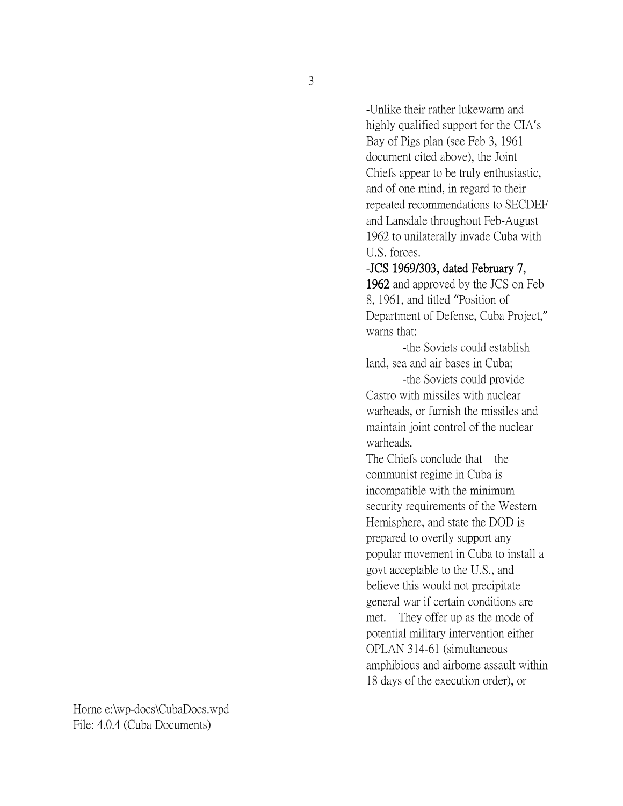-Unlike their rather lukewarm and highly qualified support for the CIA's Bay of Pigs plan (see Feb 3, 1961 document cited above), the Joint Chiefs appear to be truly enthusiastic, and of one mind, in regard to their repeated recommendations to SECDEF and Lansdale throughout Feb-August 1962 to unilaterally invade Cuba with U.S. forces.

### -JCS 1969/303, dated February 7,

1962 and approved by the JCS on Feb 8, 1961, and titled "Position of Department of Defense, Cuba Project," warns that:

-the Soviets could establish land, sea and air bases in Cuba;

-the Soviets could provide Castro with missiles with nuclear warheads, or furnish the missiles and maintain joint control of the nuclear warheads.

The Chiefs conclude that the communist regime in Cuba is incompatible with the minimum security requirements of the Western Hemisphere, and state the DOD is prepared to overtly support any popular movement in Cuba to install a govt acceptable to the U.S., and believe this would not precipitate general war if certain conditions are met. They offer up as the mode of potential military intervention either OPLAN 314-61 (simultaneous amphibious and airborne assault within 18 days of the execution order), or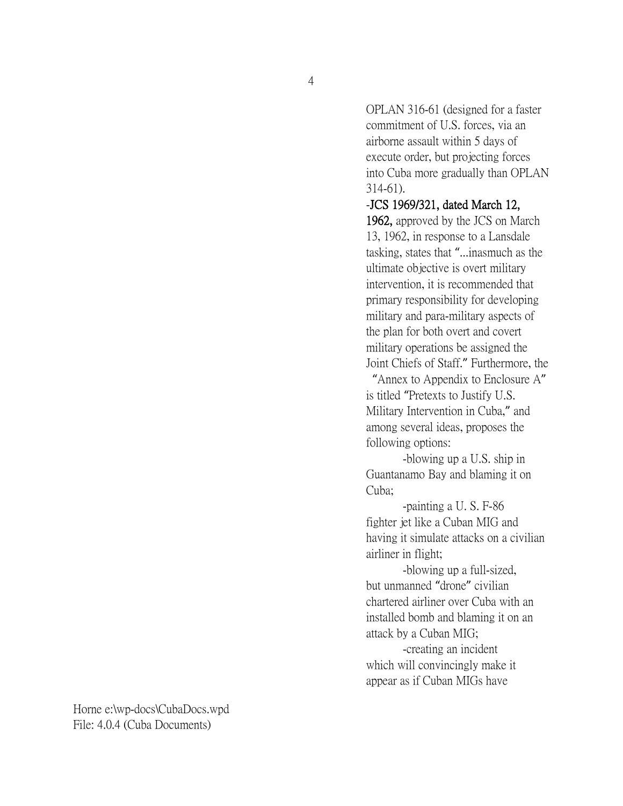OPLAN 316-61 (designed for a faster commitment of U.S. forces, via an airborne assault within 5 days of execute order, but projecting forces into Cuba more gradually than OPLAN 314-61).

# -JCS 1969/321, dated March 12, 1962, approved by the JCS on March 13, 1962, in response to a Lansdale tasking, states that "...inasmuch as the ultimate objective is overt military intervention, it is recommended that primary responsibility for developing military and para-military aspects of the plan for both overt and covert military operations be assigned the Joint Chiefs of Staff." Furthermore, the

"Annex to Appendix to Enclosure A" is titled "Pretexts to Justify U.S. Military Intervention in Cuba," and among several ideas, proposes the following options:

-blowing up a U.S. ship in Guantanamo Bay and blaming it on Cuba;

-painting a U. S. F-86 fighter jet like a Cuban MIG and having it simulate attacks on a civilian airliner in flight;

-blowing up a full-sized, but unmanned "drone" civilian chartered airliner over Cuba with an installed bomb and blaming it on an attack by a Cuban MIG;

-creating an incident which will convincingly make it appear as if Cuban MIGs have

4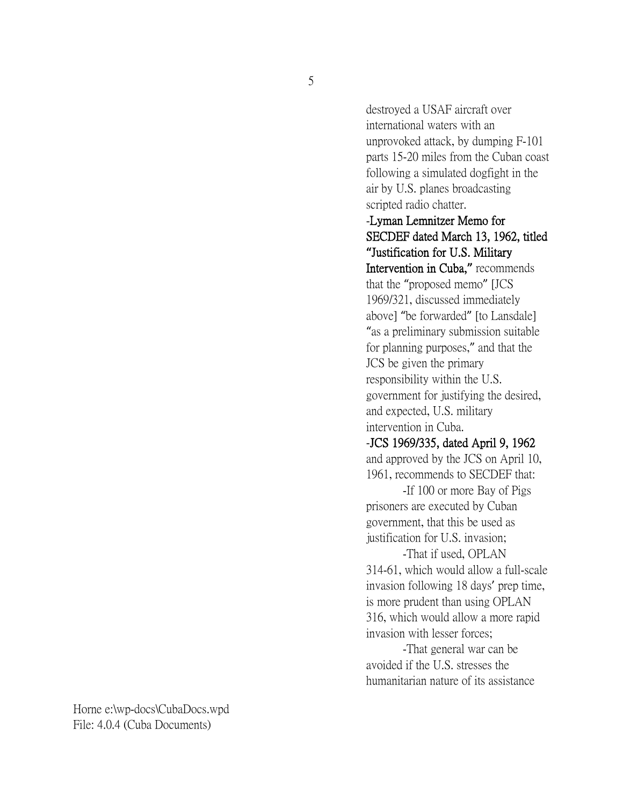destroyed a USAF aircraft over international waters with an unprovoked attack, by dumping F-101 parts 15-20 miles from the Cuban coast following a simulated dogfight in the air by U.S. planes broadcasting scripted radio chatter.

### -Lyman Lemnitzer Memo for SECDEF dated March 13, 1962, titled **"**Justification for U.S. Military

Intervention in Cuba,**"** recommends that the "proposed memo" [JCS 1969/321, discussed immediately above] "be forwarded" [to Lansdale] "as a preliminary submission suitable for planning purposes," and that the JCS be given the primary responsibility within the U.S. government for justifying the desired, and expected, U.S. military intervention in Cuba.

### -JCS 1969/335, dated April 9, 1962

and approved by the JCS on April 10, 1961, recommends to SECDEF that:

-If 100 or more Bay of Pigs prisoners are executed by Cuban government, that this be used as justification for U.S. invasion;

-That if used, OPLAN 314-61, which would allow a full-scale invasion following 18 days' prep time, is more prudent than using OPLAN 316, which would allow a more rapid invasion with lesser forces;

-That general war can be avoided if the U.S. stresses the humanitarian nature of its assistance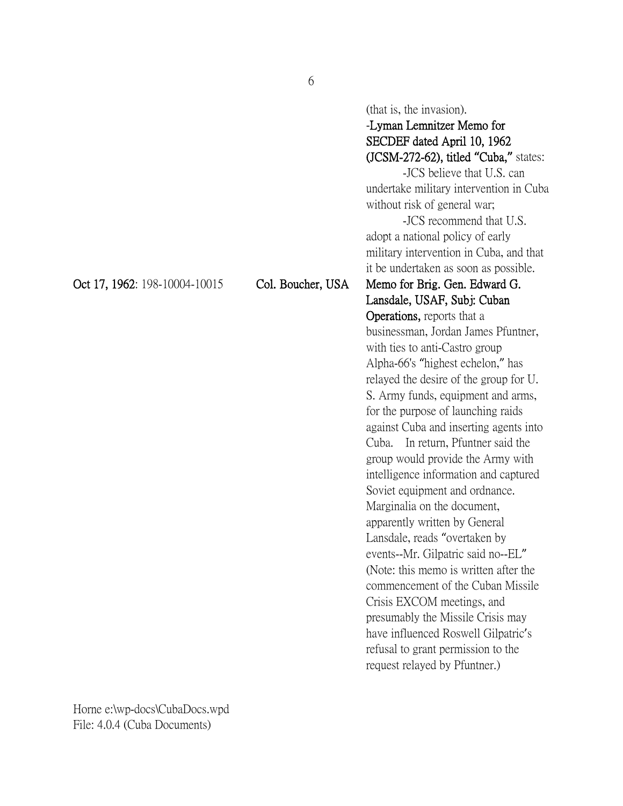SECDEF dated April 10, 1962 (JCSM-272-62), titled **"**Cuba,**"** states: -JCS believe that U.S. can undertake military intervention in Cuba without risk of general war; -JCS recommend that U.S. adopt a national policy of early military intervention in Cuba, and that it be undertaken as soon as possible. Oct 17, 1962: 198-10004-10015 Col. Boucher, USA Memo for Brig. Gen. Edward G. Lansdale, USAF, Subj: Cuban Operations, reports that a businessman, Jordan James Pfuntner, with ties to anti-Castro group Alpha-66's "highest echelon," has relayed the desire of the group for U. S. Army funds, equipment and arms, for the purpose of launching raids against Cuba and inserting agents into Cuba. In return, Pfuntner said the group would provide the Army with intelligence information and captured Soviet equipment and ordnance. Marginalia on the document, apparently written by General Lansdale, reads "overtaken by events--Mr. Gilpatric said no--EL" (Note: this memo is written after the commencement of the Cuban Missile Crisis EXCOM meetings, and presumably the Missile Crisis may

Horne e:\wp-docs\CubaDocs.wpd File: 4.0.4 (Cuba Documents)

(that is, the invasion).

-Lyman Lemnitzer Memo for

have influenced Roswell Gilpatric's refusal to grant permission to the request relayed by Pfuntner.)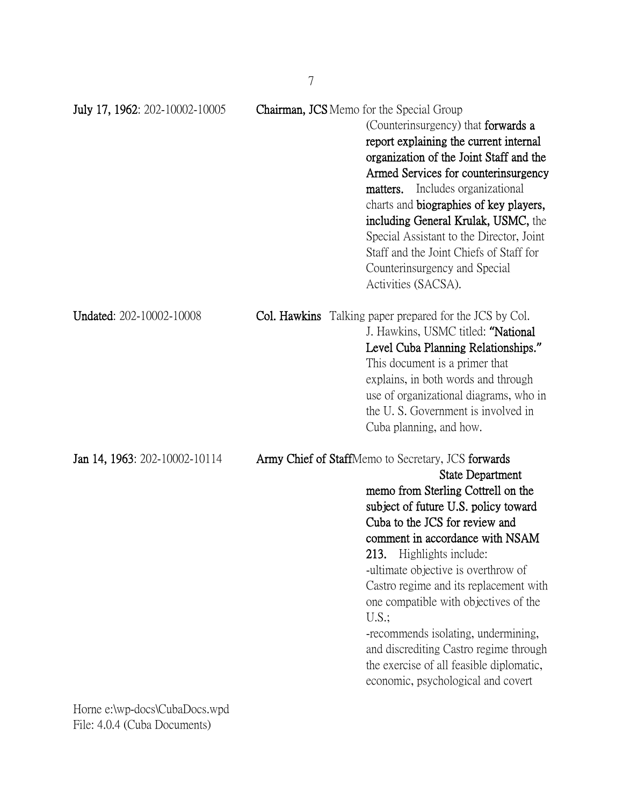| July 17, 1962: 202-10002-10005                                                                             | <b>Chairman, JCS</b> Memo for the Special Group | (Counterinsurgency) that forwards a<br>report explaining the current internal<br>organization of the Joint Staff and the<br>Armed Services for counterinsurgency<br>Includes organizational<br>matters.<br>charts and biographies of key players,<br>including General Krulak, USMC, the<br>Special Assistant to the Director, Joint<br>Staff and the Joint Chiefs of Staff for<br>Counterinsurgency and Special<br>Activities (SACSA).                                                                                                                           |
|------------------------------------------------------------------------------------------------------------|-------------------------------------------------|-------------------------------------------------------------------------------------------------------------------------------------------------------------------------------------------------------------------------------------------------------------------------------------------------------------------------------------------------------------------------------------------------------------------------------------------------------------------------------------------------------------------------------------------------------------------|
| <b>Undated: 202-10002-10008</b>                                                                            |                                                 | <b>Col. Hawkins</b> Talking paper prepared for the JCS by Col.<br>J. Hawkins, USMC titled: "National<br>Level Cuba Planning Relationships."<br>This document is a primer that<br>explains, in both words and through<br>use of organizational diagrams, who in<br>the U.S. Government is involved in<br>Cuba planning, and how.                                                                                                                                                                                                                                   |
| Jan 14, 1963: 202-10002-10114<br>Home $e^{\lambda w}$ $d^{\alpha}$ $C^{\lambda}$ $D^{\alpha}$ $w^{\alpha}$ |                                                 | Army Chief of StaffMemo to Secretary, JCS forwards<br><b>State Department</b><br>memo from Sterling Cottrell on the<br>subject of future U.S. policy toward<br>Cuba to the JCS for review and<br>comment in accordance with NSAM<br>213. Highlights include:<br>-ultimate objective is overthrow of<br>Castro regime and its replacement with<br>one compatible with objectives of the<br>U.S.<br>-recommends isolating, undermining,<br>and discrediting Castro regime through<br>the exercise of all feasible diplomatic,<br>economic, psychological and covert |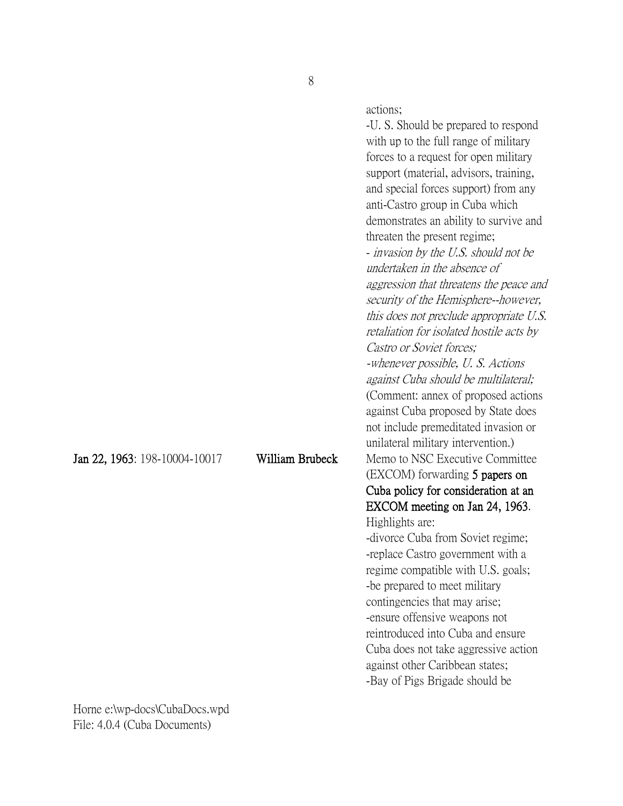actions;

-U. S. Should be prepared to respond with up to the full range of military forces to a request for open military support (material, advisors, training, and special forces support) from any anti-Castro group in Cuba which demonstrates an ability to survive and threaten the present regime; - invasion by the U.S. should not be undertaken in the absence of aggression that threatens the peace and security of the Hemisphere--however, this does not preclude appropriate U.S. retaliation for isolated hostile acts by Castro or Soviet forces; -whenever possible, U. S. Actions against Cuba should be multilateral; (Comment: annex of proposed actions against Cuba proposed by State does not include premeditated invasion or unilateral military intervention.) Jan 22, 1963: 198-10004-10017 William Brubeck Memo to NSC Executive Committee (EXCOM) forwarding 5 papers on Cuba policy for consideration at an EXCOM meeting on Jan 24, 1963. Highlights are: -divorce Cuba from Soviet regime; -replace Castro government with a regime compatible with U.S. goals; -be prepared to meet military contingencies that may arise; -ensure offensive weapons not reintroduced into Cuba and ensure Cuba does not take aggressive action against other Caribbean states; -Bay of Pigs Brigade should be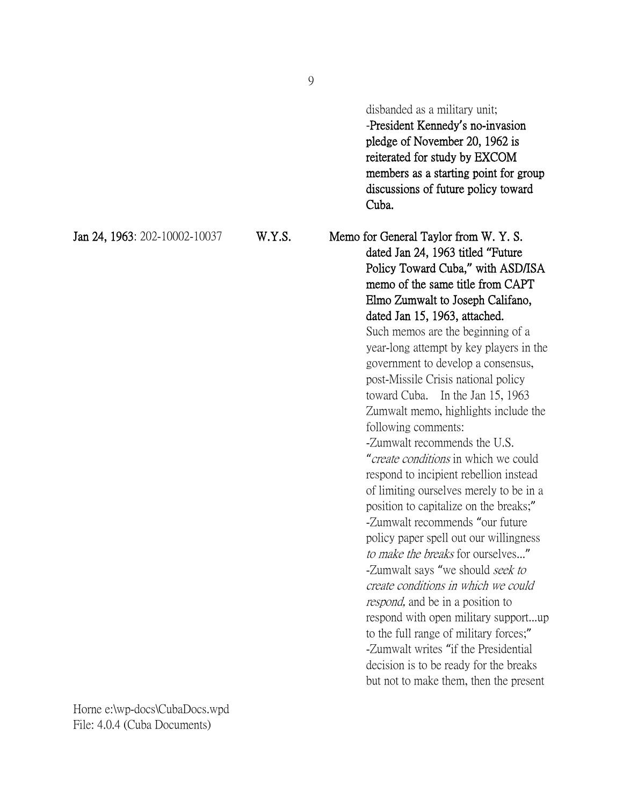disbanded as a military unit;

-President Kennedy**'**s no-invasion pledge of November 20, 1962 is reiterated for study by EXCOM members as a starting point for group discussions of future policy toward Cuba.

Jan 24, 1963: 202-10002-10037 W.Y.S. Memo for General Taylor from W. Y. S. dated Jan 24, 1963 titled **"**Future Policy Toward Cuba,**"** with ASD/ISA memo of the same title from CAPT Elmo Zumwalt to Joseph Califano, dated Jan 15, 1963, attached. Such memos are the beginning of a

year-long attempt by key players in the government to develop a consensus, post-Missile Crisis national policy toward Cuba. In the Jan 15, 1963 Zumwalt memo, highlights include the following comments:

-Zumwalt recommends the U.S. "create conditions in which we could respond to incipient rebellion instead of limiting ourselves merely to be in a position to capitalize on the breaks;" -Zumwalt recommends "our future policy paper spell out our willingness to make the breaks for ourselves..." -Zumwalt says "we should seek to create conditions in which we could respond, and be in a position to respond with open military support...up to the full range of military forces;" -Zumwalt writes "if the Presidential decision is to be ready for the breaks but not to make them, then the present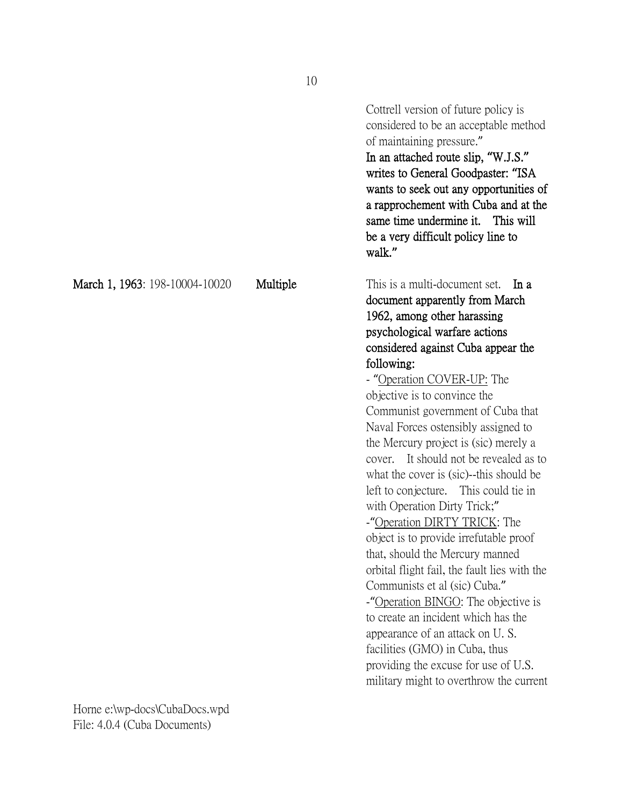Cottrell version of future policy is considered to be an acceptable method of maintaining pressure." In an attached route slip, **"**W.J.S.**"** writes to General Goodpaster: **"**ISA wants to seek out any opportunities of a rapprochement with Cuba and at the same time undermine it. This will be a very difficult policy line to walk.**"** March 1, 1963: 198-10004-10020 Multiple This is a multi-document set. In a document apparently from March 1962, among other harassing psychological warfare actions considered against Cuba appear the following: - "Operation COVER-UP: The objective is to convince the Communist government of Cuba that Naval Forces ostensibly assigned to the Mercury project is (sic) merely a cover. It should not be revealed as to what the cover is (sic)--this should be left to conjecture. This could tie in with Operation Dirty Trick;" -"Operation DIRTY TRICK: The object is to provide irrefutable proof that, should the Mercury manned orbital flight fail, the fault lies with the Communists et al (sic) Cuba." -"Operation BINGO: The objective is to create an incident which has the appearance of an attack on U. S. facilities (GMO) in Cuba, thus providing the excuse for use of U.S. military might to overthrow the current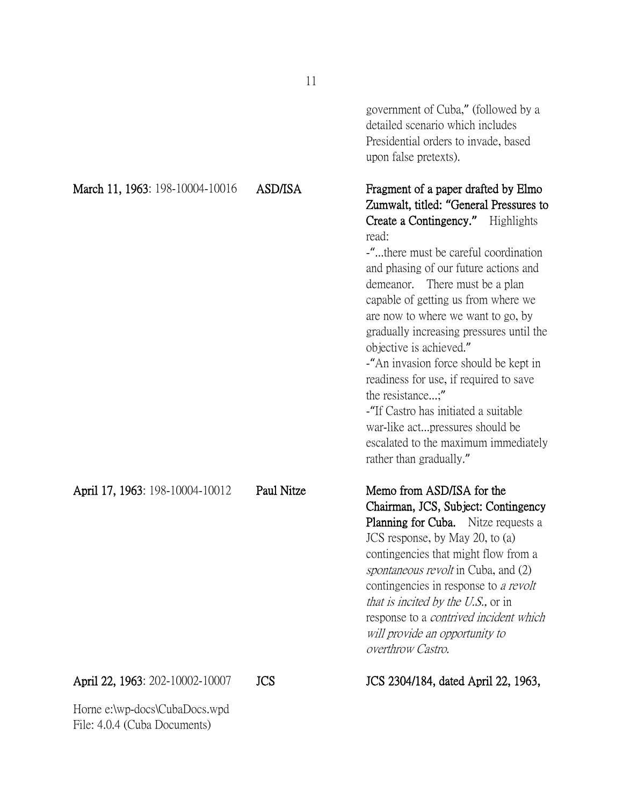|                                                               |                | government of Cuba," (followed by a<br>detailed scenario which includes<br>Presidential orders to invade, based<br>upon false pretexts).                                                                                                                                                                                                                                                                                                                                                                                                                                                                                                                   |
|---------------------------------------------------------------|----------------|------------------------------------------------------------------------------------------------------------------------------------------------------------------------------------------------------------------------------------------------------------------------------------------------------------------------------------------------------------------------------------------------------------------------------------------------------------------------------------------------------------------------------------------------------------------------------------------------------------------------------------------------------------|
| March 11, 1963: 198-10004-10016                               | <b>ASD/ISA</b> | Fragment of a paper drafted by Elmo<br>Zumwalt, titled: "General Pressures to<br>Create a Contingency." Highlights<br>read:<br>-"there must be careful coordination<br>and phasing of our future actions and<br>There must be a plan<br>demeanor.<br>capable of getting us from where we<br>are now to where we want to go, by<br>gradually increasing pressures until the<br>objective is achieved."<br>-"An invasion force should be kept in<br>readiness for use, if required to save<br>the resistance;"<br>-"If Castro has initiated a suitable<br>war-like actpressures should be<br>escalated to the maximum immediately<br>rather than gradually." |
| April 17, 1963: 198-10004-10012                               | Paul Nitze     | Memo from ASD/ISA for the<br>Chairman, JCS, Subject: Contingency<br><b>Planning for Cuba.</b> Nitze requests a<br>JCS response, by May 20, to (a)<br>contingencies that might flow from a<br><i>spontaneous revolt</i> in Cuba, and (2)<br>contingencies in response to a revolt<br>that is incited by the U.S., or in<br>response to a <i>contrived incident which</i><br>will provide an opportunity to<br>overthrow Castro.                                                                                                                                                                                                                             |
| April 22, 1963: 202-10002-10007                               | <b>JCS</b>     | JCS 2304/184, dated April 22, 1963,                                                                                                                                                                                                                                                                                                                                                                                                                                                                                                                                                                                                                        |
| Horne e:\wp-docs\CubaDocs.wpd<br>File: 4.0.4 (Cuba Documents) |                |                                                                                                                                                                                                                                                                                                                                                                                                                                                                                                                                                                                                                                                            |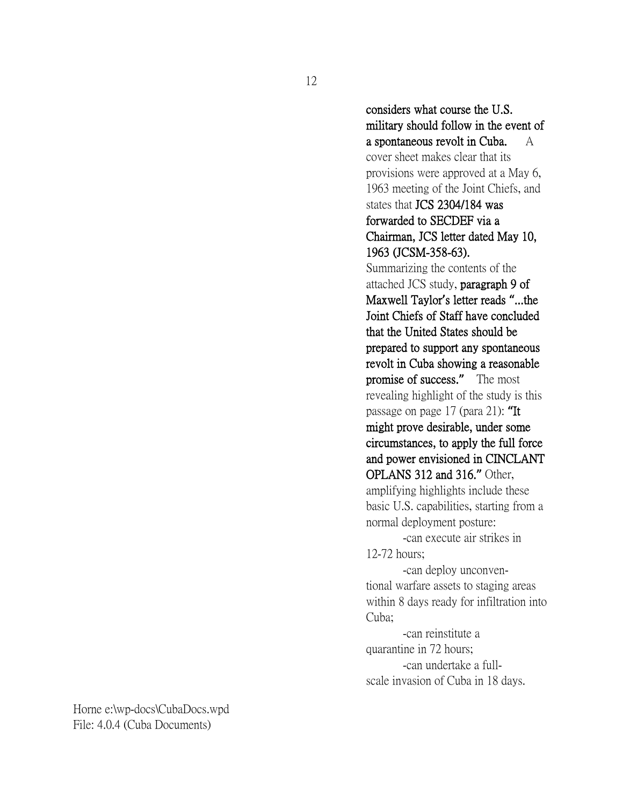considers what course the U.S. military should follow in the event of a spontaneous revolt in Cuba. A

cover sheet makes clear that its provisions were approved at a May 6, 1963 meeting of the Joint Chiefs, and states that JCS 2304/184 was forwarded to SECDEF via a Chairman, JCS letter dated May 10, 1963 (JCSM-358-63).

Summarizing the contents of the attached JCS study, paragraph 9 of Maxwell Taylor**'**s letter reads **"**...the Joint Chiefs of Staff have concluded that the United States should be prepared to support any spontaneous revolt in Cuba showing a reasonable promise of success.**"** The most revealing highlight of the study is this passage on page 17 (para 21): **"**It might prove desirable, under some circumstances, to apply the full force and power envisioned in CINCLANT OPLANS 312 and 316.**"** Other, amplifying highlights include these basic U.S. capabilities, starting from a normal deployment posture:

-can execute air strikes in 12-72 hours;

-can deploy unconventional warfare assets to staging areas within 8 days ready for infiltration into Cuba;

-can reinstitute a quarantine in 72 hours; -can undertake a fullscale invasion of Cuba in 18 days.

12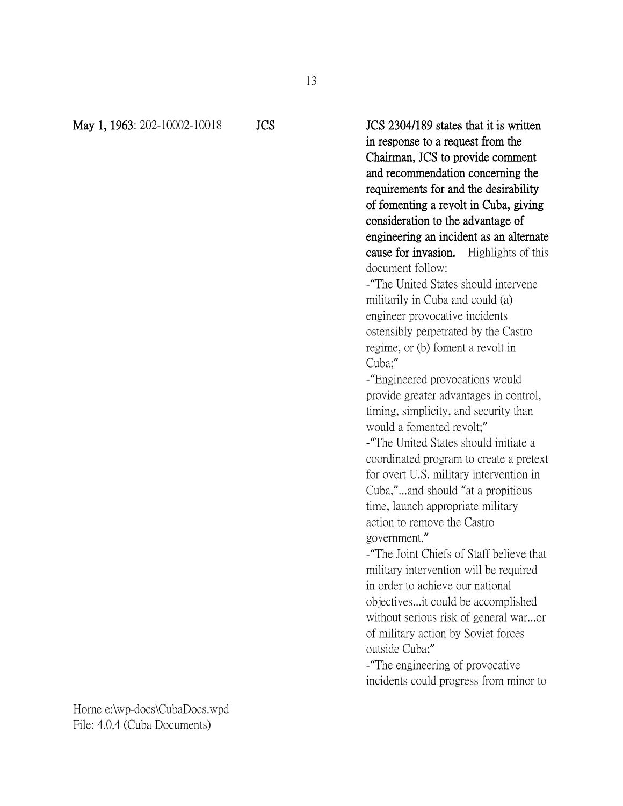May 1, 1963: 202-10002-10018 JCS JCS JCS 2304/189 states that it is written in response to a request from the Chairman, JCS to provide comment and recommendation concerning the requirements for and the desirability of fomenting a revolt in Cuba, giving consideration to the advantage of engineering an incident as an alternate cause for invasion. Highlights of this document follow:

> -"The United States should intervene militarily in Cuba and could (a) engineer provocative incidents ostensibly perpetrated by the Castro regime, or (b) foment a revolt in Cuba;"

-"Engineered provocations would provide greater advantages in control, timing, simplicity, and security than would a fomented revolt;"

-"The United States should initiate a coordinated program to create a pretext for overt U.S. military intervention in Cuba,"...and should "at a propitious time, launch appropriate military action to remove the Castro government."

-"The Joint Chiefs of Staff believe that military intervention will be required in order to achieve our national objectives...it could be accomplished without serious risk of general war...or of military action by Soviet forces outside Cuba;"

-"The engineering of provocative incidents could progress from minor to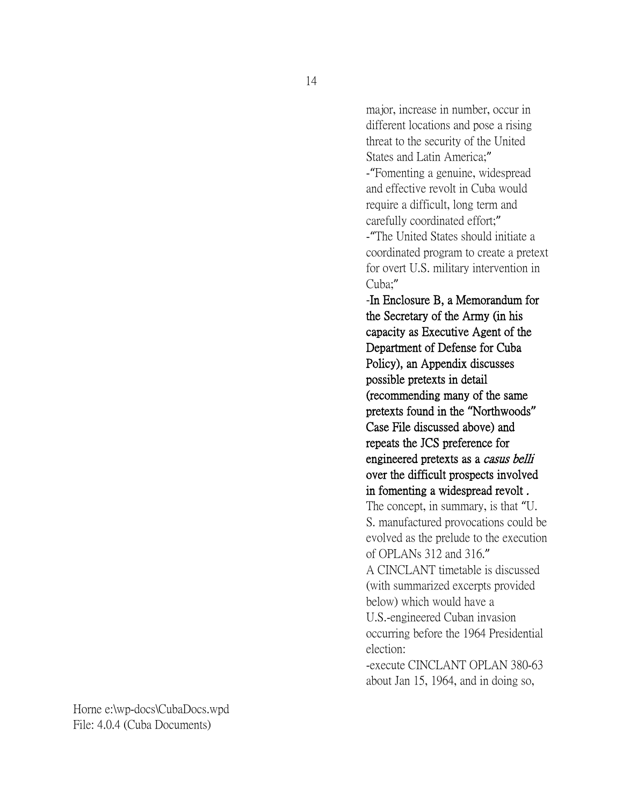14

major, increase in number, occur in different locations and pose a rising threat to the security of the United States and Latin America;" -"Fomenting a genuine, widespread and effective revolt in Cuba would require a difficult, long term and carefully coordinated effort;" -"The United States should initiate a coordinated program to create a pretext for overt U.S. military intervention in Cuba;" -In Enclosure B, a Memorandum for

the Secretary of the Army (in his capacity as Executive Agent of the Department of Defense for Cuba Policy), an Appendix discusses possible pretexts in detail (recommending many of the same pretexts found in the **"**Northwoods**"** Case File discussed above) and repeats the JCS preference for engineered pretexts as a casus belli over the difficult prospects involved in fomenting a widespread revolt .

The concept, in summary, is that "U. S. manufactured provocations could be evolved as the prelude to the execution of OPLANs 312 and 316."

A CINCLANT timetable is discussed (with summarized excerpts provided below) which would have a U.S.-engineered Cuban invasion

occurring before the 1964 Presidential election:

-execute CINCLANT OPLAN 380-63 about Jan 15, 1964, and in doing so,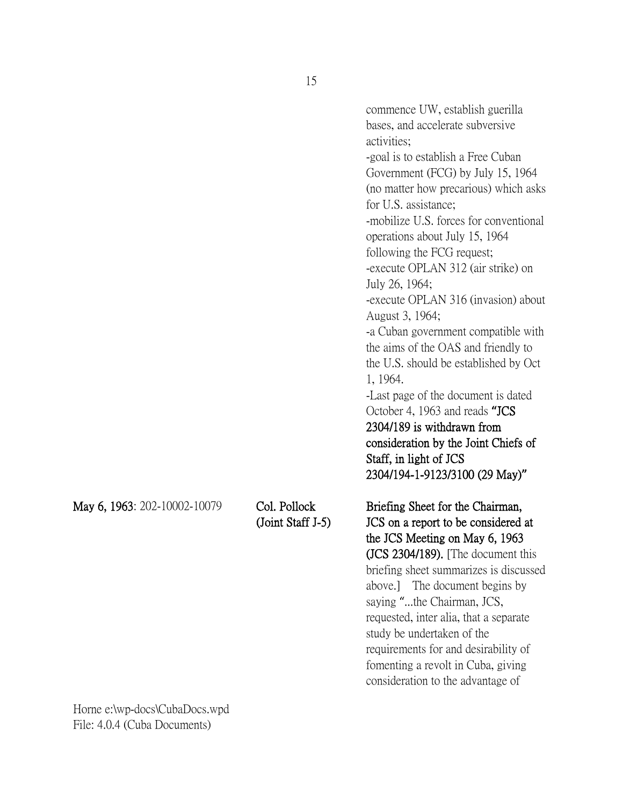bases, and accelerate subversive activities; -goal is to establish a Free Cuban Government (FCG) by July 15, 1964 (no matter how precarious) which asks for U.S. assistance; -mobilize U.S. forces for conventional operations about July 15, 1964 following the FCG request; -execute OPLAN 312 (air strike) on July 26, 1964;

commence UW, establish guerilla

-execute OPLAN 316 (invasion) about August 3, 1964; -a Cuban government compatible with

the aims of the OAS and friendly to the U.S. should be established by Oct 1, 1964.

-Last page of the document is dated October 4, 1963 and reads **"**JCS 2304/189 is withdrawn from

consideration by the Joint Chiefs of Staff, in light of JCS 2304/194-1-9123/3100 (29 May)**"**

May 6, 1963: 202-10002-10079 Col. Pollock Briefing Sheet for the Chairman, (Joint Staff J-5) JCS on a report to be considered at the JCS Meeting on May 6, 1963 (JCS 2304/189). [The document this briefing sheet summarizes is discussed above.] The document begins by saying "...the Chairman, JCS, requested, inter alia, that a separate study be undertaken of the requirements for and desirability of fomenting a revolt in Cuba, giving consideration to the advantage of

15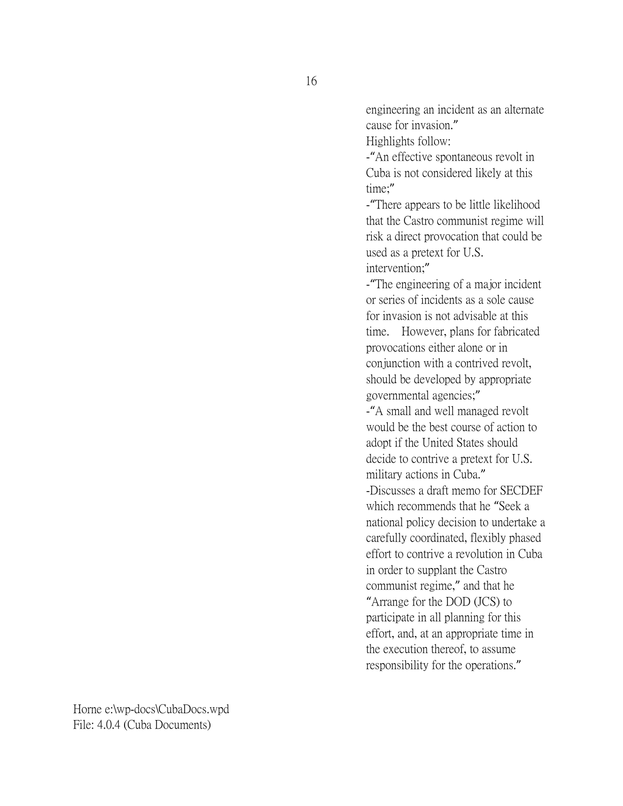engineering an incident as an alternate cause for invasion."

Highlights follow:

-"An effective spontaneous revolt in Cuba is not considered likely at this time;"

-"There appears to be little likelihood that the Castro communist regime will risk a direct provocation that could be used as a pretext for U.S. intervention;"

-"The engineering of a major incident or series of incidents as a sole cause for invasion is not advisable at this time. However, plans for fabricated provocations either alone or in conjunction with a contrived revolt, should be developed by appropriate governmental agencies;"

-"A small and well managed revolt would be the best course of action to adopt if the United States should decide to contrive a pretext for U.S. military actions in Cuba." -Discusses a draft memo for SECDEF which recommends that he "Seek a national policy decision to undertake a carefully coordinated, flexibly phased effort to contrive a revolution in Cuba in order to supplant the Castro communist regime," and that he "Arrange for the DOD (JCS) to participate in all planning for this effort, and, at an appropriate time in the execution thereof, to assume responsibility for the operations."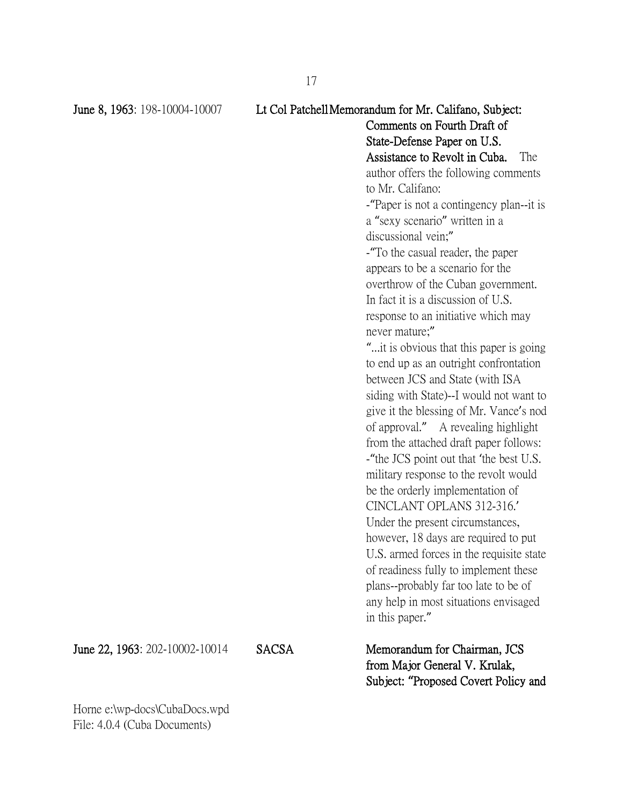# June 8, 1963: 198-10004-10007 Lt Col PatchellMemorandum for Mr. Califano, Subject: Comments on Fourth Draft of State-Defense Paper on U.S. Assistance to Revolt in Cuba. The author offers the following comments

to Mr. Califano:

-"Paper is not a contingency plan--it is a "sexy scenario" written in a discussional vein;"

-"To the casual reader, the paper appears to be a scenario for the overthrow of the Cuban government. In fact it is a discussion of U.S. response to an initiative which may never mature;"

"...it is obvious that this paper is going to end up as an outright confrontation between JCS and State (with ISA siding with State)--I would not want to give it the blessing of Mr. Vance's nod of approval." A revealing highlight from the attached draft paper follows: -"the JCS point out that 'the best U.S. military response to the revolt would be the orderly implementation of CINCLANT OPLANS 312-316.' Under the present circumstances, however, 18 days are required to put U.S. armed forces in the requisite state of readiness fully to implement these plans--probably far too late to be of any help in most situations envisaged in this paper."

June 22, 1963: 202-10002-10014 SACSA Memorandum for Chairman, JCS from Major General V. Krulak, Subject: **"**Proposed Covert Policy and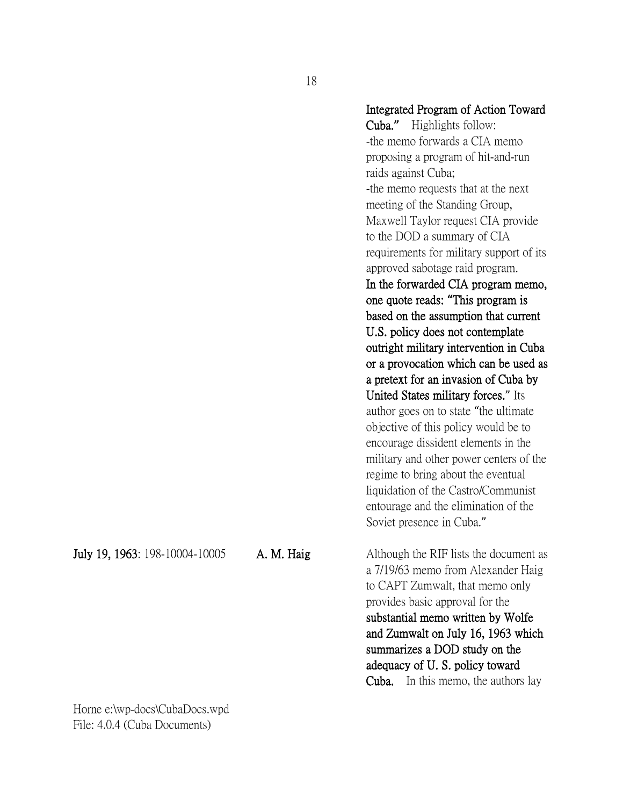#### Integrated Program of Action Toward

Cuba.**"** Highlights follow: -the memo forwards a CIA memo proposing a program of hit-and-run raids against Cuba; -the memo requests that at the next meeting of the Standing Group, Maxwell Taylor request CIA provide to the DOD a summary of CIA requirements for military support of its approved sabotage raid program. In the forwarded CIA program memo, one quote reads: **"**This program is based on the assumption that current U.S. policy does not contemplate outright military intervention in Cuba or a provocation which can be used as a pretext for an invasion of Cuba by United States military forces." Its author goes on to state "the ultimate objective of this policy would be to encourage dissident elements in the military and other power centers of the regime to bring about the eventual liquidation of the Castro/Communist entourage and the elimination of the Soviet presence in Cuba."

July 19, 1963: 198-10004-10005 A. M. Haig Although the RIF lists the document as a 7/19/63 memo from Alexander Haig to CAPT Zumwalt, that memo only provides basic approval for the substantial memo written by Wolfe and Zumwalt on July 16, 1963 which summarizes a DOD study on the adequacy of U. S. policy toward Cuba. In this memo, the authors lay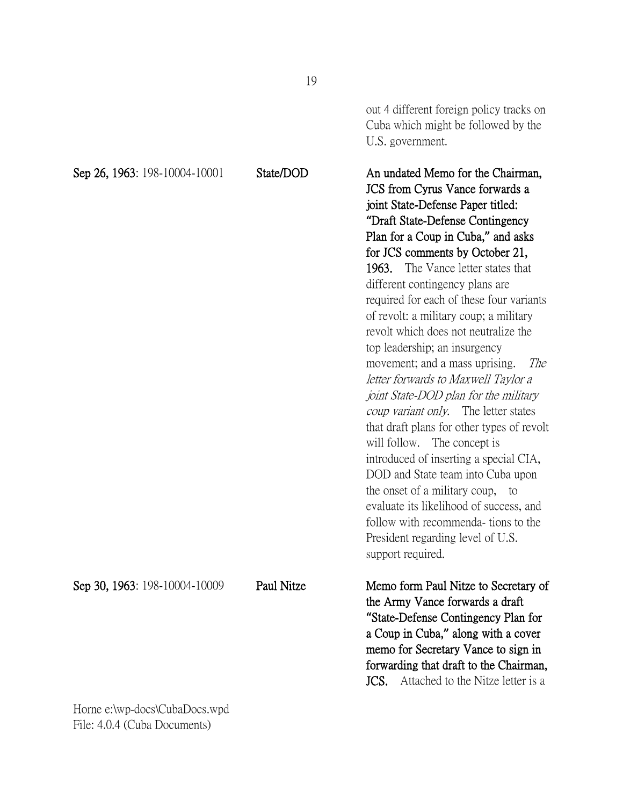|                               | 12         |                                                                                                                                                                                                                                                                                                                                                                                                                                                                                                                                                                                                                                                                                                                                                                                                                                                                                                                                                                                 |
|-------------------------------|------------|---------------------------------------------------------------------------------------------------------------------------------------------------------------------------------------------------------------------------------------------------------------------------------------------------------------------------------------------------------------------------------------------------------------------------------------------------------------------------------------------------------------------------------------------------------------------------------------------------------------------------------------------------------------------------------------------------------------------------------------------------------------------------------------------------------------------------------------------------------------------------------------------------------------------------------------------------------------------------------|
|                               |            | out 4 different foreign policy tracks on<br>Cuba which might be followed by the<br>U.S. government.                                                                                                                                                                                                                                                                                                                                                                                                                                                                                                                                                                                                                                                                                                                                                                                                                                                                             |
| Sep 26, 1963: 198-10004-10001 | State/DOD  | An undated Memo for the Chairman,<br>JCS from Cyrus Vance forwards a<br>joint State-Defense Paper titled:<br>"Draft State-Defense Contingency<br>Plan for a Coup in Cuba," and asks<br>for JCS comments by October 21,<br>The Vance letter states that<br>1963.<br>different contingency plans are.<br>required for each of these four variants<br>of revolt: a military coup; a military<br>revolt which does not neutralize the<br>top leadership; an insurgency<br>movement; and a mass uprising.<br>The<br>letter forwards to Maxwell Taylor a<br>joint State-DOD plan for the military<br>coup variant only. The letter states<br>that draft plans for other types of revolt<br>will follow. The concept is<br>introduced of inserting a special CIA,<br>DOD and State team into Cuba upon<br>the onset of a military coup, to<br>evaluate its likelihood of success, and<br>follow with recommenda-tions to the<br>President regarding level of U.S.<br>support required. |
| Sep 30, 1963: 198-10004-10009 | Paul Nitze | Memo form Paul Nitze to Secretary of<br>the Army Vance forwards a draft<br>"State-Defense Contingency Plan for<br>a Coup in Cuba," along with a cover<br>memo for Secretary Vance to sign in<br>forwarding that draft to the Chairman,<br>Attached to the Nitze letter is a<br>JCS.                                                                                                                                                                                                                                                                                                                                                                                                                                                                                                                                                                                                                                                                                             |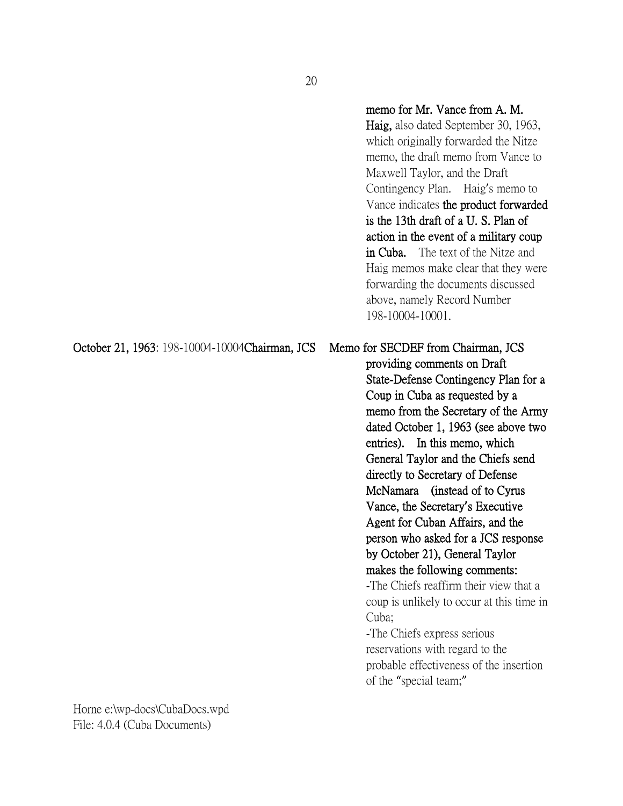### memo for Mr. Vance from A. M.

Haig, also dated September 30, 1963, which originally forwarded the Nitze memo, the draft memo from Vance to Maxwell Taylor, and the Draft Contingency Plan. Haig's memo to Vance indicates the product forwarded is the 13th draft of a U. S. Plan of action in the event of a military coup in Cuba. The text of the Nitze and Haig memos make clear that they were forwarding the documents discussed above, namely Record Number 198-10004-10001.

October 21, 1963: 198-10004-10004Chairman, JCS Memo for SECDEF from Chairman, JCS providing comments on Draft State-Defense Contingency Plan for a Coup in Cuba as requested by a memo from the Secretary of the Army dated October 1, 1963 (see above two entries). In this memo, which General Taylor and the Chiefs send directly to Secretary of Defense McNamara (instead of to Cyrus Vance, the Secretary**'**s Executive Agent for Cuban Affairs, and the person who asked for a JCS response by October 21), General Taylor makes the following comments: -The Chiefs reaffirm their view that a coup is unlikely to occur at this time in Cuba; -The Chiefs express serious

reservations with regard to the probable effectiveness of the insertion of the "special team;"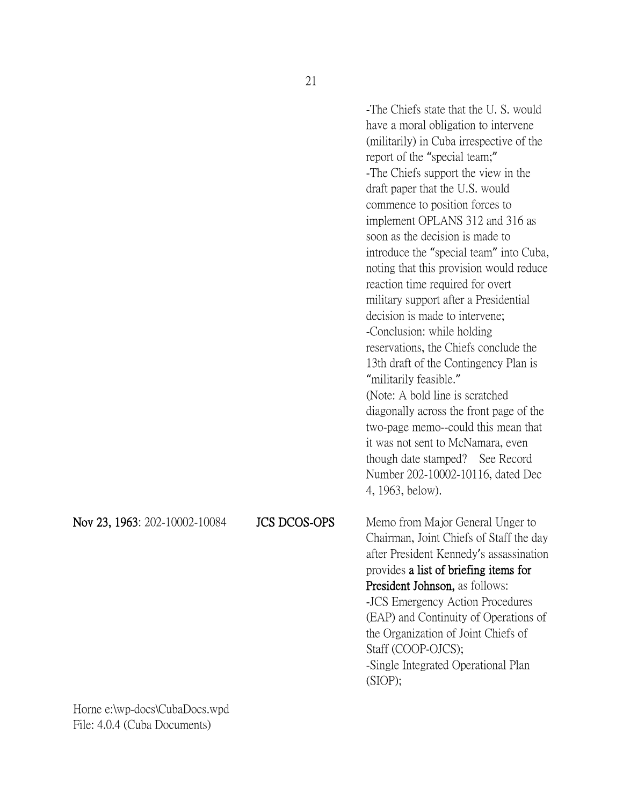-The Chiefs state that the U. S. would have a moral obligation to intervene (militarily) in Cuba irrespective of the report of the "special team;" -The Chiefs support the view in the draft paper that the U.S. would commence to position forces to implement OPLANS 312 and 316 as soon as the decision is made to introduce the "special team" into Cuba, noting that this provision would reduce reaction time required for overt military support after a Presidential decision is made to intervene; -Conclusion: while holding reservations, the Chiefs conclude the 13th draft of the Contingency Plan is "militarily feasible." (Note: A bold line is scratched diagonally across the front page of the two-page memo--could this mean that it was not sent to McNamara, even though date stamped? See Record Number 202-10002-10116, dated Dec 4, 1963, below). Nov 23, 1963: 202-10002-10084 JCS DCOS-OPS Memo from Major General Unger to Chairman, Joint Chiefs of Staff the day after President Kennedy's assassination provides a list of briefing items for President Johnson, as follows: -JCS Emergency Action Procedures (EAP) and Continuity of Operations of the Organization of Joint Chiefs of Staff (COOP-OJCS); -Single Integrated Operational Plan (SIOP);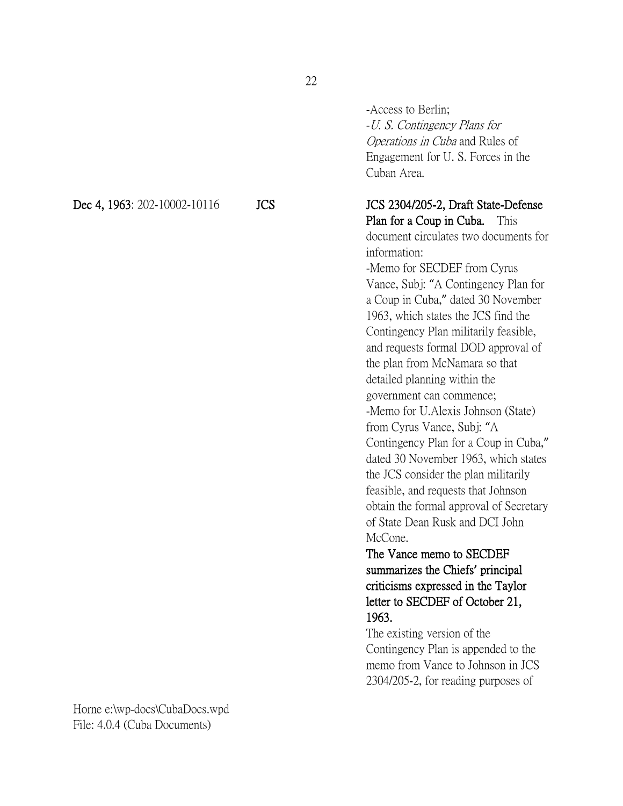-Access to Berlin; -U. S. Contingency Plans for Operations in Cuba and Rules of Engagement for U. S. Forces in the Cuban Area.

Dec 4, 1963: 202-10002-10116 JCS JCS JCS 2304/205-2, Draft State-Defense Plan for a Coup in Cuba. This document circulates two documents for information: -Memo for SECDEF from Cyrus Vance, Subj: "A Contingency Plan for a Coup in Cuba," dated 30 November 1963, which states the JCS find the Contingency Plan militarily feasible, and requests formal DOD approval of the plan from McNamara so that detailed planning within the government can commence; -Memo for U.Alexis Johnson (State) from Cyrus Vance, Subj: "A Contingency Plan for a Coup in Cuba," dated 30 November 1963, which states the JCS consider the plan militarily

feasible, and requests that Johnson obtain the formal approval of Secretary of State Dean Rusk and DCI John McCone.

# The Vance memo to SECDEF summarizes the Chiefs**'** principal criticisms expressed in the Taylor letter to SECDEF of October 21, 1963.

The existing version of the Contingency Plan is appended to the memo from Vance to Johnson in JCS 2304/205-2, for reading purposes of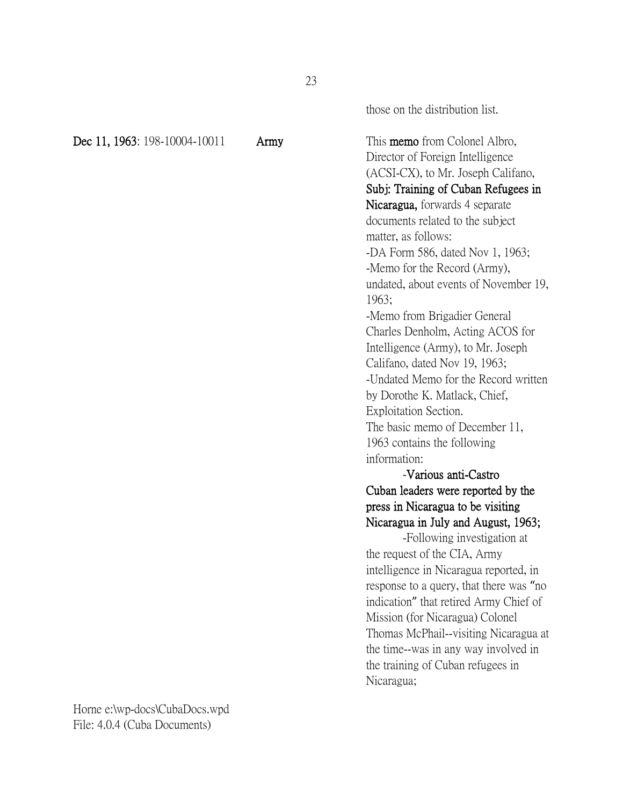|  | Dec 11, 1963: 198-10004-10011 |
|--|-------------------------------|
|  |                               |

those on the distribution list.

Army This memo from Colonel Albro, Director of Foreign Intelligence (ACSI-CX), to Mr. Joseph Califano, Subj: Training of Cuban Refugees in Nicaragua, forwards 4 separate documents related to the subject matter, as follows: -DA Form 586, dated Nov 1, 1963; -Memo for the Record (Army), undated, about events of November 19, 1963; -Memo from Brigadier General Charles Denholm, Acting ACOS for Intelligence (Army), to Mr. Joseph Califano, dated Nov 19, 1963; -Undated Memo for the Record written by Dorothe K. Matlack, Chief, Exploitation Section. The basic memo of December 11, 1963 contains the following information:

# -Various anti-Castro Cuban leaders were reported by the press in Nicaragua to be visiting Nicaragua in July and August, 1963;

-Following investigation at the request of the CIA, Army intelligence in Nicaragua reported, in response to a query, that there was "no indication" that retired Army Chief of Mission (for Nicaragua) Colonel Thomas McPhail--visiting Nicaragua at the time--was in any way involved in the training of Cuban refugees in Nicaragua;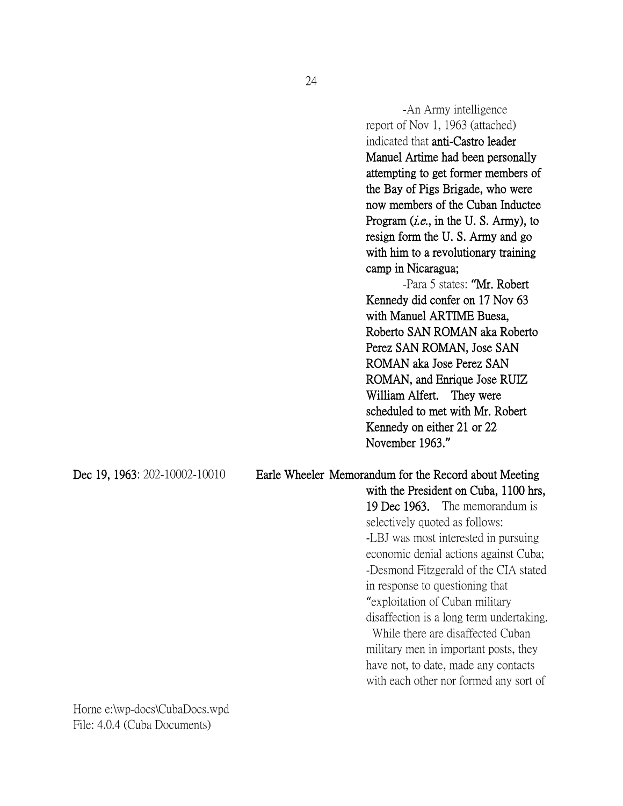-An Army intelligence report of Nov 1, 1963 (attached) indicated that anti-Castro leader Manuel Artime had been personally attempting to get former members of the Bay of Pigs Brigade, who were now members of the Cuban Inductee Program *(i.e.*, in the U.S. Army), to resign form the U. S. Army and go with him to a revolutionary training camp in Nicaragua;

-Para 5 states: **"**Mr. Robert Kennedy did confer on 17 Nov 63 with Manuel ARTIME Buesa, Roberto SAN ROMAN aka Roberto Perez SAN ROMAN, Jose SAN ROMAN aka Jose Perez SAN ROMAN, and Enrique Jose RUIZ William Alfert. They were scheduled to met with Mr. Robert Kennedy on either 21 or 22 November 1963.**"**

### Dec 19, 1963: 202-10002-10010 Earle Wheeler Memorandum for the Record about Meeting

with the President on Cuba, 1100 hrs, 19 Dec 1963. The memorandum is selectively quoted as follows: -LBJ was most interested in pursuing economic denial actions against Cuba; -Desmond Fitzgerald of the CIA stated in response to questioning that "exploitation of Cuban military disaffection is a long term undertaking. While there are disaffected Cuban

military men in important posts, they have not, to date, made any contacts with each other nor formed any sort of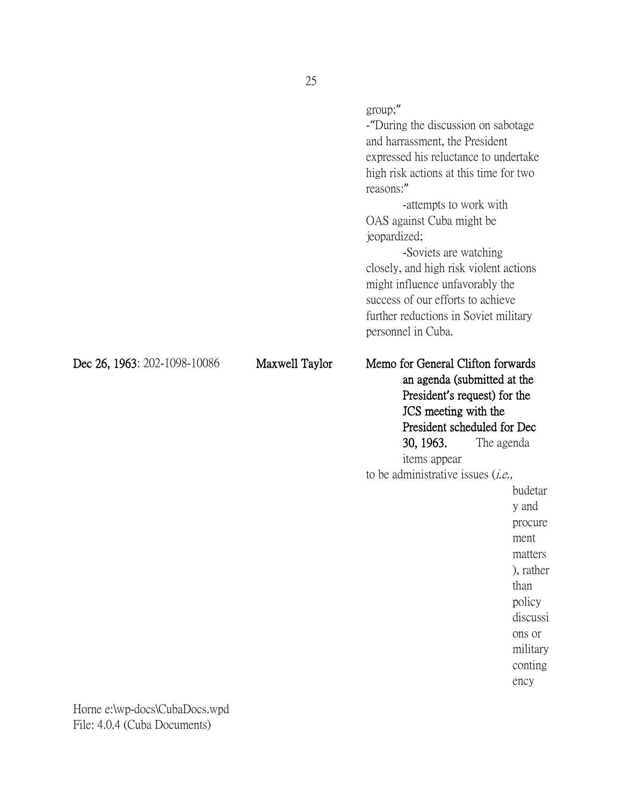|                              |                | group;"<br>-"During the discussion on sabotage<br>and harrassment, the President<br>expressed his reluctance to undertake<br>high risk actions at this time for two<br>reasons:"<br>-attempts to work with<br>OAS against Cuba might be<br>jeopardized;<br>-Soviets are watching<br>closely, and high risk violent actions<br>might influence unfavorably the<br>success of our efforts to achieve<br>further reductions in Soviet military<br>personnel in Cuba. |                                                                                                                                                  |
|------------------------------|----------------|-------------------------------------------------------------------------------------------------------------------------------------------------------------------------------------------------------------------------------------------------------------------------------------------------------------------------------------------------------------------------------------------------------------------------------------------------------------------|--------------------------------------------------------------------------------------------------------------------------------------------------|
| Dec 26, 1963: 202-1098-10086 | Maxwell Taylor | Memo for General Clifton forwards<br>an agenda (submitted at the<br>President's request) for the<br>JCS meeting with the<br>President scheduled for Dec<br>30, 1963.<br>items appear<br>to be administrative issues $(i.e.,$                                                                                                                                                                                                                                      | The agenda<br>budetar<br>y and<br>procure<br>ment<br>matters<br>), rather<br>than<br>policy<br>discussi<br>ons or<br>military<br>conting<br>ency |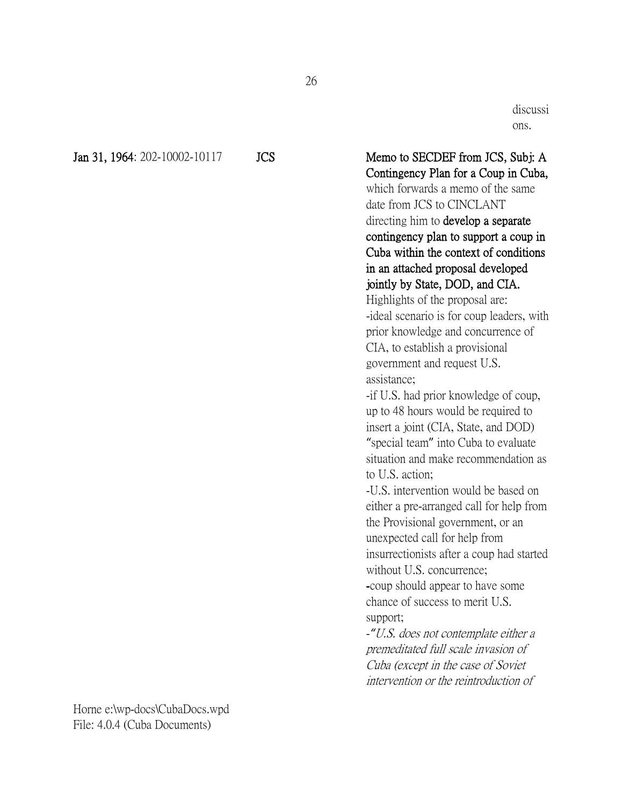Jan 31, 1964: 202-10002-10117 JCS Memo to SECDEF from JCS, Subj: A

discussi ons.

Contingency Plan for a Coup in Cuba, which forwards a memo of the same date from JCS to CINCLANT directing him to develop a separate contingency plan to support a coup in Cuba within the context of conditions in an attached proposal developed jointly by State, DOD, and CIA. Highlights of the proposal are: -ideal scenario is for coup leaders, with prior knowledge and concurrence of CIA, to establish a provisional government and request U.S. assistance; -if U.S. had prior knowledge of coup,

up to 48 hours would be required to insert a joint (CIA, State, and DOD) "special team" into Cuba to evaluate situation and make recommendation as to U.S. action;

-U.S. intervention would be based on either a pre-arranged call for help from the Provisional government, or an unexpected call for help from insurrectionists after a coup had started without U.S. concurrence;

-coup should appear to have some chance of success to merit U.S. support;

-*"*U.S. does not contemplate either a premeditated full scale invasion of Cuba (except in the case of Soviet intervention or the reintroduction of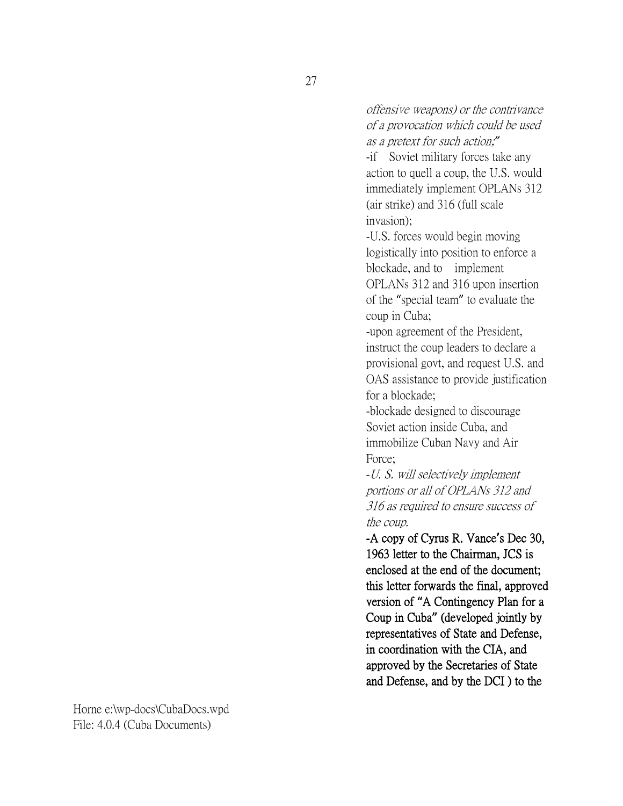offensive weapons) or the contrivance of a provocation which could be used as a pretext for such action;*"*

-if Soviet military forces take any action to quell a coup, the U.S. would immediately implement OPLANs 312 (air strike) and 316 (full scale invasion);

-U.S. forces would begin moving logistically into position to enforce a blockade, and to implement OPLANs 312 and 316 upon insertion of the "special team" to evaluate the coup in Cuba;

-upon agreement of the President, instruct the coup leaders to declare a provisional govt, and request U.S. and OAS assistance to provide justification for a blockade;

-blockade designed to discourage Soviet action inside Cuba, and immobilize Cuban Navy and Air Force;

-U. S. will selectively implement portions or all of OPLANs 312 and 316 as required to ensure success of the coup.

-A copy of Cyrus R. Vance**'**s Dec 30, 1963 letter to the Chairman, JCS is enclosed at the end of the document; this letter forwards the final, approved version of **"**A Contingency Plan for a Coup in Cuba**"** (developed jointly by representatives of State and Defense, in coordination with the CIA, and approved by the Secretaries of State and Defense, and by the DCI ) to the